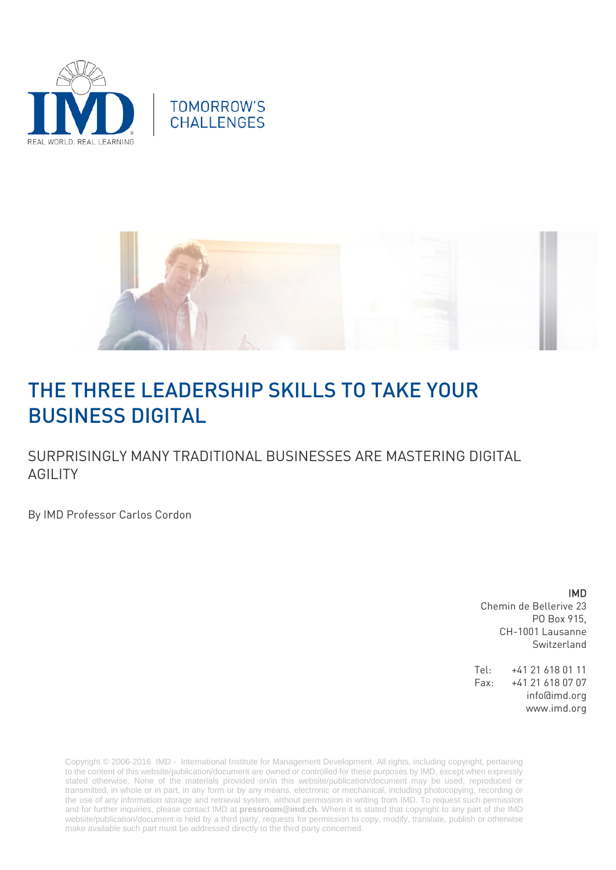



# THE THREE LEADERSHIP SKILLS TO TAKE YOUR BUSINESS DIGITAL

SURPRISINGLY MANY TRADITIONAL BUSINESSES ARE MASTERING DIGITAL AGILITY

By IMD Professor Carlos Cordon

IMD

Chemin de Bellerive 23 PO Box 915, CH-1001 Lausanne Switzerland

Tel: +41 21 618 01 11 Fax: +41 21 618 07 07 info@imd.org www.imd.org

Copyright © 2006-2016 IMD - International Institute for Management Development. All rights, including copyright, pertaining to the content of this website/publication/document are owned or controlled for these purposes by IMD, except when expressly stated otherwise. None of the materials provided on/in this website/publication/document may be used, reproduced or transmitted, in whole or in part, in any form or by any means, electronic or mechanical, including photocopying, recording or the use of any information storage and retrieval system, without permission in writing from IMD. To request such permission and for further inquiries, please contact IMD at **[pressroom@imd.ch](mailto:pressroom@imd.ch)**. Where it is stated that copyright to any part of the IMD website/publication/document is held by a third party, requests for permission to copy, modify, translate, publish or otherwise make available such part must be addressed directly to the third party concerned.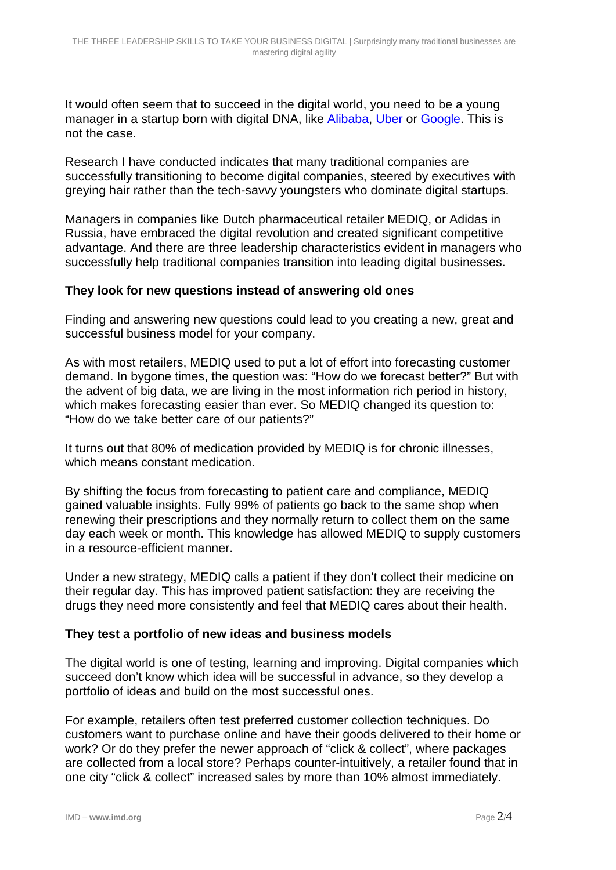It would often seem that to succeed in the digital world, you need to be a young manager in a startup born with digital DNA, like [Alibaba,](http://www.cityam.com/company/alibaba) [Uber](http://www.cityam.com/company/uber) or [Google.](http://www.cityam.com/company/google) This is not the case.

Research I have conducted indicates that many traditional companies are successfully transitioning to become digital companies, steered by executives with greying hair rather than the tech-savvy youngsters who dominate digital startups.

Managers in companies like Dutch pharmaceutical retailer MEDIQ, or Adidas in Russia, have embraced the digital revolution and created significant competitive advantage. And there are three leadership characteristics evident in managers who successfully help traditional companies transition into leading digital businesses.

#### **They look for new questions instead of answering old ones**

Finding and answering new questions could lead to you creating a new, great and successful business model for your company.

As with most retailers, MEDIQ used to put a lot of effort into forecasting customer demand. In bygone times, the question was: "How do we forecast better?" But with the advent of big data, we are living in the most information rich period in history, which makes forecasting easier than ever. So MEDIQ changed its question to: "How do we take better care of our patients?"

It turns out that 80% of medication provided by MEDIQ is for chronic illnesses, which means constant medication.

By shifting the focus from forecasting to patient care and compliance, MEDIQ gained valuable insights. Fully 99% of patients go back to the same shop when renewing their prescriptions and they normally return to collect them on the same day each week or month. This knowledge has allowed MEDIQ to supply customers in a resource-efficient manner.

Under a new strategy, MEDIQ calls a patient if they don't collect their medicine on their regular day. This has improved patient satisfaction: they are receiving the drugs they need more consistently and feel that MEDIQ cares about their health.

### **They test a portfolio of new ideas and business models**

The digital world is one of testing, learning and improving. Digital companies which succeed don't know which idea will be successful in advance, so they develop a portfolio of ideas and build on the most successful ones.

For example, retailers often test preferred customer collection techniques. Do customers want to purchase online and have their goods delivered to their home or work? Or do they prefer the newer approach of "click & collect", where packages are collected from a local store? Perhaps counter-intuitively, a retailer found that in one city "click & collect" increased sales by more than 10% almost immediately.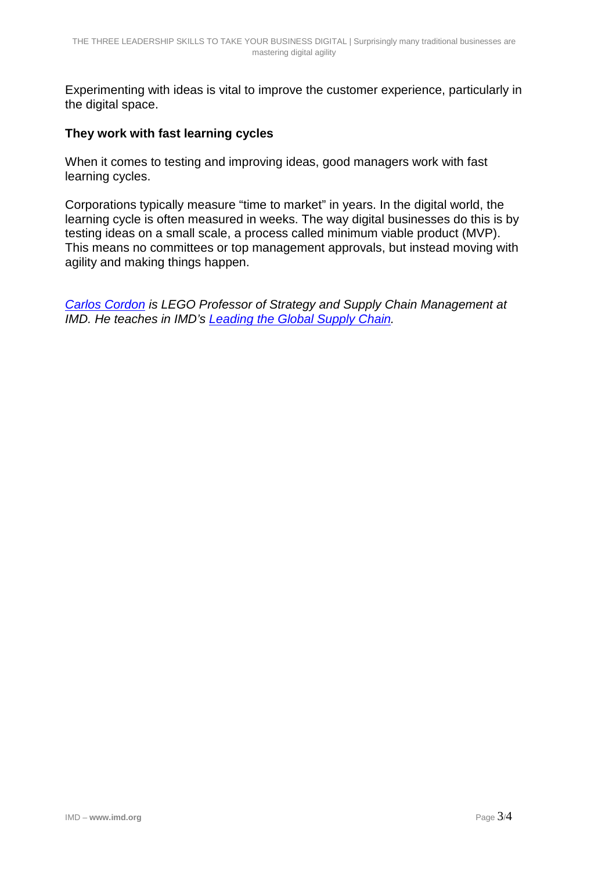Experimenting with ideas is vital to improve the customer experience, particularly in the digital space.

### **They work with fast learning cycles**

When it comes to testing and improving ideas, good managers work with fast learning cycles.

Corporations typically measure "time to market" in years. In the digital world, the learning cycle is often measured in weeks. The way digital businesses do this is by testing ideas on a small scale, a process called minimum viable product (MVP). This means no committees or top management approvals, but instead moving with agility and making things happen.

*[Carlos Cordon](http://www.imd.org/about/facultystaff/cordon.cfm) is LEGO Professor of Strategy and Supply Chain Management at IMD. He teaches in IMD's [Leading the Global Supply Chain.](http://www.imd.org/executive-education/lgsc/supply-chain-management/description-dates-fees/#tab=1)*